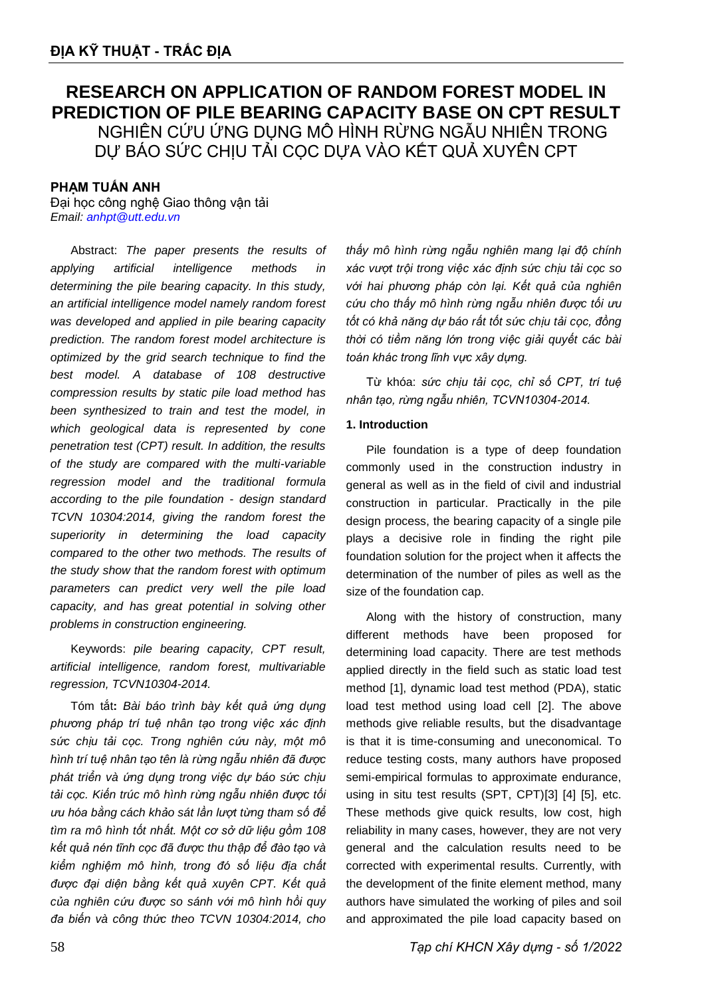# **RESEARCH ON APPLICATION OF RANDOM FOREST MODEL IN PREDICTION OF PILE BEARING CAPACITY BASE ON CPT RESULT** NGHIÊN CỨU ỨNG DỤNG MÔ HÌNH RỪNG NGẪU NHIÊN TRONG DỰ BÁO SỨC CHỊU TẢI CỌC DỰA VÀO KẾT QUẢ XUYÊN CPT

# **PHẠM TUẤN ANH**

Đại học công nghệ Giao thông vận tải *Email: [anhpt@utt.edu.vn](mailto:anhpt@utt.edu.vn)*

Abstract: *The paper presents the results of applying artificial intelligence methods in determining the pile bearing capacity. In this study, an artificial intelligence model namely random forest was developed and applied in pile bearing capacity prediction. The random forest model architecture is optimized by the grid search technique to find the best model. A database of 108 destructive compression results by static pile load method has been synthesized to train and test the model, in which geological data is represented by cone penetration test (CPT) result. In addition, the results of the study are compared with the multi-variable regression model and the traditional formula according to the pile foundation - design standard TCVN 10304:2014, giving the random forest the superiority in determining the load capacity compared to the other two methods. The results of the study show that the random forest with optimum parameters can predict very well the pile load capacity, and has great potential in solving other problems in construction engineering.* 

Keywords: *pile bearing capacity, CPT result, artificial intelligence, random forest, multivariable regression, TCVN10304-2014.*

Tóm tắt**:** *Bài báo trình bày kết quả ứng dụng phương pháp trí tuệ nhân tạo trong việc xác định sức chịu tải cọc. Trong nghiên cứu này, một mô hình trí tuệ nhân tạo tên là rừng ngẫu nhiên đã được phát triển và ứng dụng trong việc dự báo sức chịu tải cọc. Kiến trúc mô hình rừng ngẫu nhiên được tối ưu hóa bằng cách khảo sát lần lượt từng tham số để tìm ra mô hình tốt nhất. Một cơ sở dữ liệu gồm 108 kết quả nén tĩnh cọc đã được thu thập để đào tạo và kiểm nghiệm mô hình, trong đó số liệu địa chất được đại diện bằng kết quả xuyên CPT. Kết quả của nghiên cứu được so sánh với mô hình hồi quy đa biến và công thức theo TCVN 10304:2014, cho* 

*thấy mô hình rừng ngẫu nghiên mang lại độ chính xác vượt trội trong việc xác định sức chịu tải cọc so với hai phương pháp còn lại. Kết quả của nghiên cứu cho thấy mô hình rừng ngẫu nhiên được tối ưu tốt có khả năng dự báo rất tốt sức chịu tải cọc, đồng thời có tiềm năng lớn trong việc giải quyết các bài toán khác trong lĩnh vực xây dựng.*

Từ khóa: *sức chịu tải cọc, chỉ số CPT, trí tuệ nhân tạo, rừng ngẫu nhiên, TCVN10304-2014.*

## **1. Introduction**

Pile foundation is a type of deep foundation commonly used in the construction industry in general as well as in the field of civil and industrial construction in particular. Practically in the pile design process, the bearing capacity of a single pile plays a decisive role in finding the right pile foundation solution for the project when it affects the determination of the number of piles as well as the size of the foundation cap.

Along with the history of construction, many different methods have been proposed for determining load capacity. There are test methods applied directly in the field such as static load test method [1], dynamic load test method (PDA), static load test method using load cell [2]. The above methods give reliable results, but the disadvantage is that it is time-consuming and uneconomical. To reduce testing costs, many authors have proposed semi-empirical formulas to approximate endurance, using in situ test results (SPT, CPT)[3] [4] [5], etc. These methods give quick results, low cost, high reliability in many cases, however, they are not very general and the calculation results need to be corrected with experimental results. Currently, with the development of the finite element method, many authors have simulated the working of piles and soil and approximated the pile load capacity based on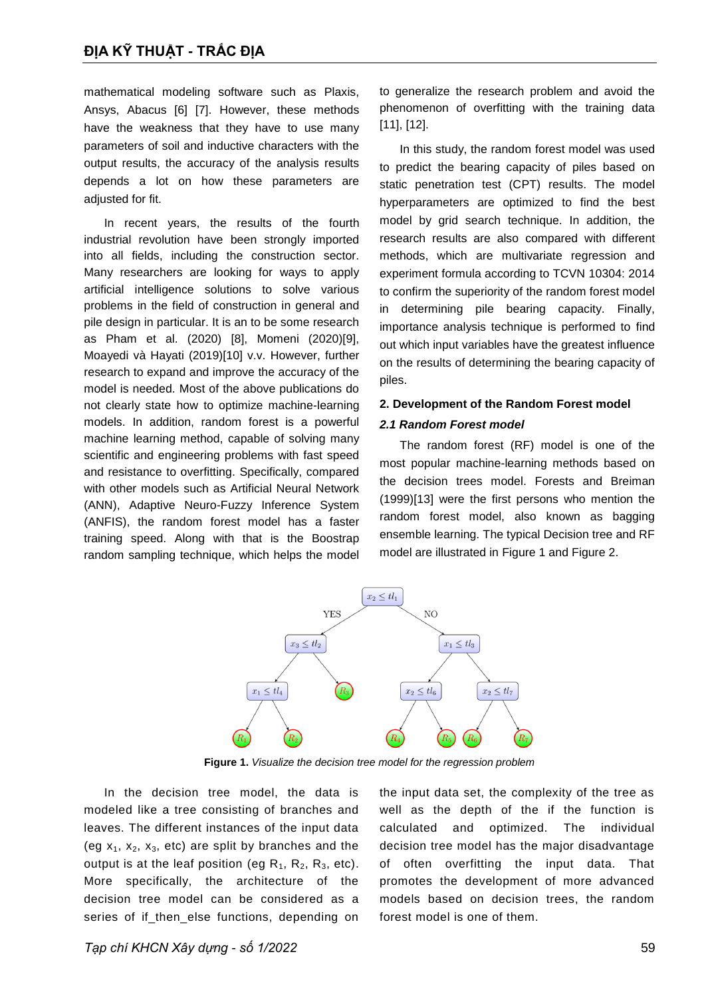mathematical modeling software such as Plaxis, Ansys, Abacus [6] [7]. However, these methods have the weakness that they have to use many parameters of soil and inductive characters with the output results, the accuracy of the analysis results depends a lot on how these parameters are adjusted for fit.

In recent years, the results of the fourth industrial revolution have been strongly imported into all fields, including the construction sector. Many researchers are looking for ways to apply artificial intelligence solutions to solve various problems in the field of construction in general and pile design in particular. It is an to be some research as Pham et al. (2020) [8], Momeni (2020)[9], Moayedi và Hayati (2019)[10] v.v. However, further research to expand and improve the accuracy of the model is needed. Most of the above publications do not clearly state how to optimize machine-learning models. In addition, random forest is a powerful machine learning method, capable of solving many scientific and engineering problems with fast speed and resistance to overfitting. Specifically, compared with other models such as Artificial Neural Network (ANN), Adaptive Neuro-Fuzzy Inference System (ANFIS), the random forest model has a faster training speed. Along with that is the Boostrap random sampling technique, which helps the model to generalize the research problem and avoid the phenomenon of overfitting with the training data [11], [12].

In this study, the random forest model was used to predict the bearing capacity of piles based on static penetration test (CPT) results. The model hyperparameters are optimized to find the best model by grid search technique. In addition, the research results are also compared with different methods, which are multivariate regression and experiment formula according to TCVN 10304: 2014 to confirm the superiority of the random forest model in determining pile bearing capacity. Finally, importance analysis technique is performed to find out which input variables have the greatest influence on the results of determining the bearing capacity of piles.

# **2. Development of the Random Forest model** *2.1 Random Forest model*

The random forest (RF) model is one of the most popular machine-learning methods based on the decision trees model. Forests and Breiman (1999)[13] were the first persons who mention the random forest model, also known as bagging ensemble learning. The typical Decision tree and RF model are illustrated in [Figure 1](#page-1-0) and [Figure 2.](#page--1-0)



**Figure 1.** *Visualize the decision tree model for the regression problem*

<span id="page-1-0"></span>In the decision tree model, the data is modeled like a tree consisting of branches and leaves. The different instances of the input data (eg  $x_1$ ,  $x_2$ ,  $x_3$ , etc) are split by branches and the output is at the leaf position (eg  $R_1$ ,  $R_2$ ,  $R_3$ , etc). More specifically, the architecture of the decision tree model can be considered as a series of if then else functions, depending on the input data set, the complexity of the tree as well as the depth of the if the function is calculated and optimized. The individual decision tree model has the major disadvantage of often overfitting the input data. That promotes the development of more advanced models based on decision trees, the random forest model is one of them.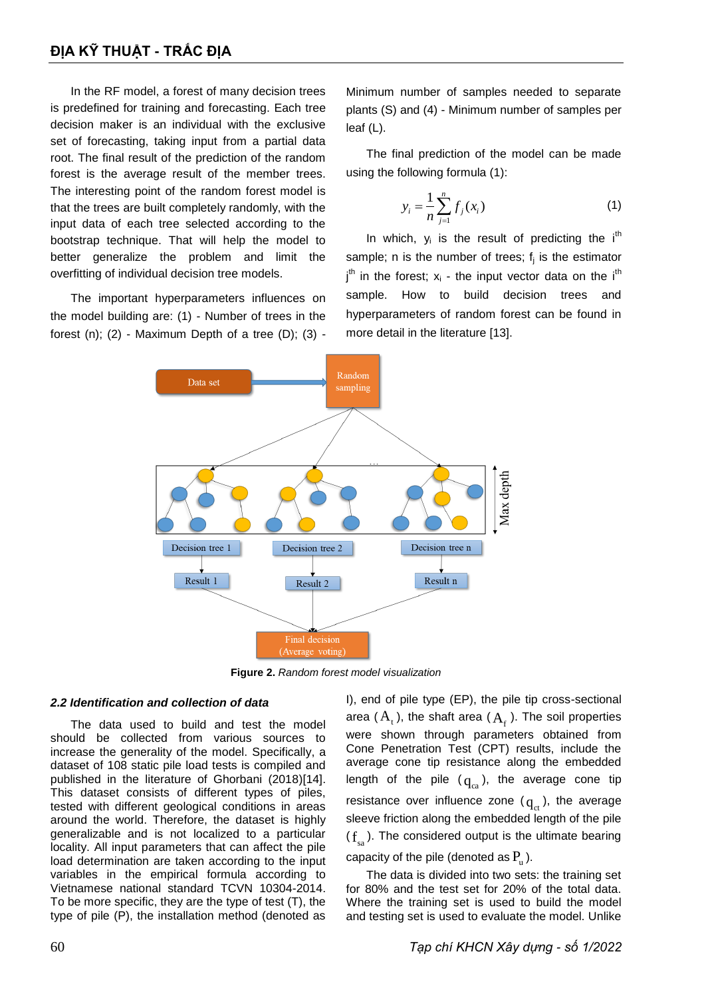In the RF model, a forest of many decision trees is predefined for training and forecasting. Each tree decision maker is an individual with the exclusive set of forecasting, taking input from a partial data root. The final result of the prediction of the random forest is the average result of the member trees. The interesting point of the random forest model is that the trees are built completely randomly, with the input data of each tree selected according to the bootstrap technique. That will help the model to better generalize the problem and limit the overfitting of individual decision tree models.

The important hyperparameters influences on the model building are: (1) - Number of trees in the forest  $(n)$ ;  $(2)$  - Maximum Depth of a tree  $(D)$ ;  $(3)$  - Minimum number of samples needed to separate plants (S) and (4) - Minimum number of samples per leaf (L).

The final prediction of the model can be made using the following formula (1):

$$
y_i = \frac{1}{n} \sum_{j=1}^n f_j(x_i)
$$
 (1)

In which,  $y_i$  is the result of predicting the i<sup>th</sup> sample; n is the number of trees;  $f_j$  is the estimator  $j<sup>th</sup>$  in the forest;  $x<sub>i</sub>$  - the input vector data on the i<sup>th</sup> sample. How to build decision trees and hyperparameters of random forest can be found in more detail in the literature [13].



**Figure 2.** *Random forest model visualization*

## *2.2 Identification and collection of data*

The data used to build and test the model should be collected from various sources to increase the generality of the model. Specifically, a dataset of 108 static pile load tests is compiled and published in the literature of Ghorbani (2018)[14]. This dataset consists of different types of piles, tested with different geological conditions in areas around the world. Therefore, the dataset is highly generalizable and is not localized to a particular locality. All input parameters that can affect the pile load determination are taken according to the input variables in the empirical formula according to Vietnamese national standard TCVN 10304-2014. To be more specific, they are the type of test (T), the type of pile (P), the installation method (denoted as I), end of pile type (EP), the pile tip cross-sectional area ( $A_t$ ), the shaft area ( $A_f$ ). The soil properties were shown through parameters obtained from Cone Penetration Test (CPT) results, include the average cone tip resistance along the embedded length of the pile  $(q_{ca})$ , the average cone tip resistance over influence zone ( $q_{\text{ct}}$ ), the average sleeve friction along the embedded length of the pile  $(f_{sa})$ . The considered output is the ultimate bearing capacity of the pile (denoted as  $P_u$ ).

The data is divided into two sets: the training set for 80% and the test set for 20% of the total data. Where the training set is used to build the model and testing set is used to evaluate the model. Unlike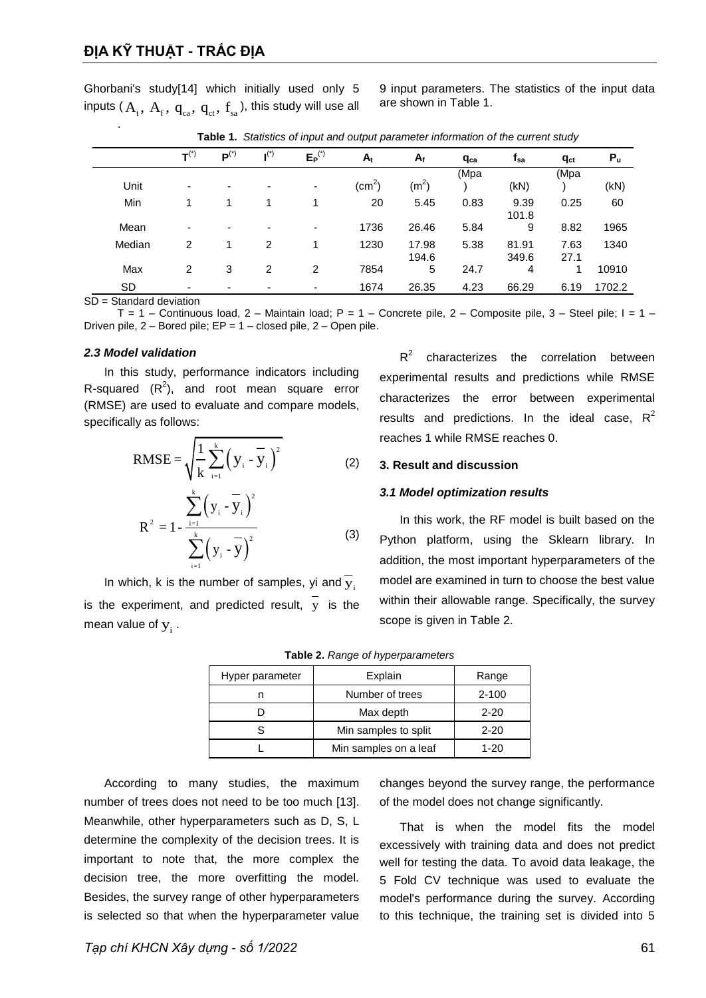Ghorbani's study[14] which initially used only 5 inputs (  $\rm A_{_{t}},~\rm A_{_{f}},~\rm q_{_{ca}},~\rm q_{_{ct}},~\rm f_{_{sa}}$  ), this study will use all 9 input parameters. The statistics of the input data are shown in Table 1.

|        | $T^{(*)}$                | $\mathbf{P}^{(*)}$       | $\mathbf{I}^{(*)}$ | $E_P^{(*)}$ | $A_t$           | $A_f$             | q <sub>ca</sub> | $f_{sa}$       | $q_{ct}$     | $P_u$  |
|--------|--------------------------|--------------------------|--------------------|-------------|-----------------|-------------------|-----------------|----------------|--------------|--------|
| Unit   | $\overline{\phantom{0}}$ | $\overline{\phantom{0}}$ | ٠                  | ۰           | $\text{(cm}^2)$ | (m <sup>2</sup> ) | (Mpa            | (kN)           | (Mpa         | (kN)   |
| Min    |                          |                          |                    |             | 20              | 5.45              | 0.83            | 9.39<br>101.8  | 0.25         | 60     |
| Mean   | ٠                        |                          | ٠                  | ۰           | 1736            | 26.46             | 5.84            | 9              | 8.82         | 1965   |
| Median | 2                        |                          | 2                  |             | 1230            | 17.98<br>194.6    | 5.38            | 81.91<br>349.6 | 7.63<br>27.1 | 1340   |
| Max    | $\overline{2}$           | 3                        | 2                  | 2           | 7854            | 5                 | 24.7            | 4              | 1            | 10910  |
| SD     | $\overline{\phantom{0}}$ |                          | -                  | ٠           | 1674            | 26.35             | 4.23            | 66.29          | 6.19         | 1702.2 |

**Table 1.** *Statistics of input and output parameter information of the current study*

SD = Standard deviation

.

T = 1 – Continuous load, 2 – Maintain load; P = 1 – Concrete pile, 2 – Composite pile, 3 – Steel pile; I = 1 – Driven pile, 2 – Bored pile; EP = 1 – closed pile, 2 – Open pile.

#### *2.3 Model validation*

In this study, performance indicators including R-squared  $(R^2)$ , and root mean square error (RMSE) are used to evaluate and compare models, specifically as follows:

RMSE = 
$$
\sqrt{\frac{1}{k} \sum_{i=1}^{k} (y_i - \overline{y}_i)^2}
$$
 (2)  
\n $R^2 = 1 - \frac{\sum_{i=1}^{k} (y_i - \overline{y}_i)^2}{\sum_{i=1}^{k} (y_i - \overline{y})^2}$  (3)

In which, k is the number of samples, yi and  $\overline{y}_i$ is the experiment, and predicted result, y is the mean value of  $y_i$  .

 $R^2$ characterizes the correlation between experimental results and predictions while RMSE characterizes the error between experimental results and predictions. In the ideal case,  $R^2$ reaches 1 while RMSE reaches 0.

#### **3. Result and discussion**

### *3.1 Model optimization results*

In this work, the RF model is built based on the Python platform, using the Sklearn library. In addition, the most important hyperparameters of the model are examined in turn to choose the best value within their allowable range. Specifically, the survey scope is given in Table 2.

|  |  | Table 2. Range of hyperparameters |
|--|--|-----------------------------------|
|--|--|-----------------------------------|

| Hyper parameter | Explain               | Range     |  |
|-----------------|-----------------------|-----------|--|
|                 | Number of trees       | $2 - 100$ |  |
|                 | Max depth             | $2 - 20$  |  |
|                 | Min samples to split  | $2 - 20$  |  |
|                 | Min samples on a leaf | $1 - 20$  |  |

According to many studies, the maximum number of trees does not need to be too much [13]. Meanwhile, other hyperparameters such as D, S, L determine the complexity of the decision trees. It is important to note that, the more complex the decision tree, the more overfitting the model. Besides, the survey range of other hyperparameters is selected so that when the hyperparameter value

changes beyond the survey range, the performance of the model does not change significantly.

That is when the model fits the model excessively with training data and does not predict well for testing the data. To avoid data leakage, the 5 Fold CV technique was used to evaluate the model's performance during the survey. According to this technique, the training set is divided into 5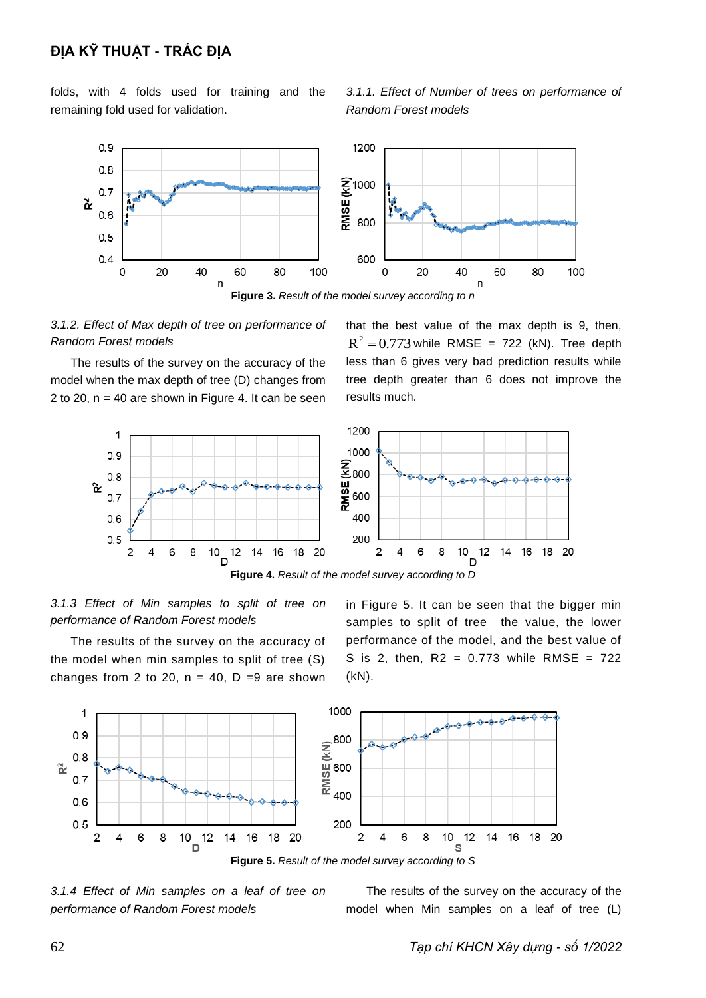folds, with 4 folds used for training and the remaining fold used for validation.







The results of the survey on the accuracy of the model when the max depth of tree (D) changes from 2 to 20,  $n = 40$  are shown in [Figure 4.](#page-4-0) It can be seen

that the best value of the max depth is 9, then,  $R^2 = 0.773$  while RMSE = 722 (kN). Tree depth less than 6 gives very bad prediction results while tree depth greater than 6 does not improve the results much.



<span id="page-4-0"></span>*3.1.3 Effect of Min samples to split of tree on performance of Random Forest models*

The results of the survey on the accuracy of the model when min samples to split of tree (S) changes from 2 to 20,  $n = 40$ ,  $D = 9$  are shown in [Figure 5.](#page-4-1) It can be seen that the bigger min samples to split of tree the value, the lower performance of the model, and the best value of S is 2, then,  $R2 = 0.773$  while RMSE =  $722$ (kN).



<span id="page-4-1"></span>*3.1.4 Effect of Min samples on a leaf of tree on performance of Random Forest models*

The results of the survey on the accuracy of the model when Min samples on a leaf of tree (L)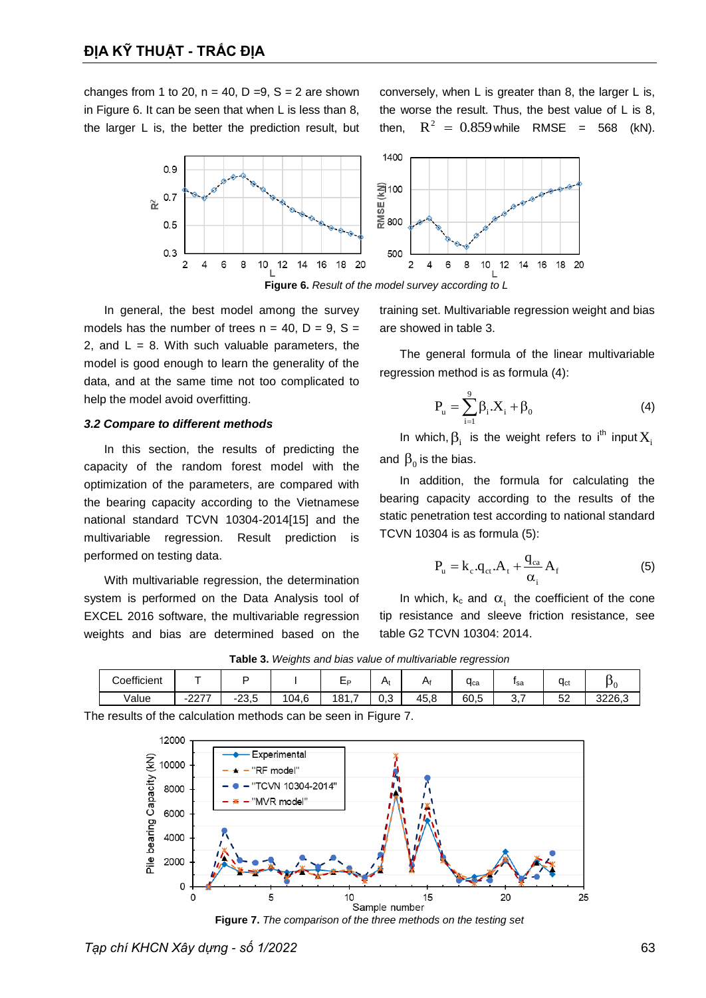changes from 1 to 20,  $n = 40$ ,  $D = 9$ ,  $S = 2$  are shown in [Figure 6.](#page-5-0) It can be seen that when L is less than 8, the larger L is, the better the prediction result, but conversely, when L is greater than 8, the larger L is, the worse the result. Thus, the best value of L is 8, then,  $R^2 = 0.859$  while RMSE = 568 (kN).



**Figure 6.** *Result of the model survey according to L*

<span id="page-5-0"></span>In general, the best model among the survey models has the number of trees  $n = 40$ ,  $D = 9$ ,  $S =$ 2, and  $L = 8$ . With such valuable parameters, the model is good enough to learn the generality of the data, and at the same time not too complicated to help the model avoid overfitting.

### *3.2 Compare to different methods*

In this section, the results of predicting the capacity of the random forest model with the optimization of the parameters, are compared with the bearing capacity according to the Vietnamese national standard TCVN 10304-2014[15] and the multivariable regression. Result prediction is performed on testing data.

With multivariable regression, the determination system is performed on the Data Analysis tool of EXCEL 2016 software, the multivariable regression weights and bias are determined based on the

training set. Multivariable regression weight and bias are showed in table 3.

The general formula of the linear multivariable regression method is as formula (4):

$$
P_{u} = \sum_{i=1}^{9} \beta_{i} . X_{i} + \beta_{0}
$$
 (4)

In which,  $\beta_i$  is the weight refers to i<sup>th</sup> input  $X_i$ and  $\boldsymbol{\beta}_{0}$  is the bias.

In addition, the formula for calculating the bearing capacity according to the results of the static penetration test according to national standard TCVN 10304 is as formula (5):

$$
P_{u} = k_{c}.q_{ct}.A_{t} + \frac{q_{ca}}{\alpha_{i}}A_{f}
$$
 (5)

In which,  $k_c$  and  $\alpha_i$  the coefficient of the cone tip resistance and sleeve friction resistance, see table G2 TCVN 10304: 2014.

|             |                                                |                             | ~     |            |                   |      | <u>~</u> |                                |                      |        |
|-------------|------------------------------------------------|-----------------------------|-------|------------|-------------------|------|----------|--------------------------------|----------------------|--------|
| Coefficient |                                                |                             |       | ∟P.        | H <sub>0</sub>    | H۱   | Чса      | <b>Isa</b>                     | $\overline{ }$<br>Чα |        |
| Value       | 0277<br>$\overline{\phantom{a}}$<br><b>LLI</b> | 22E<br>$\ddot{\,}$<br>ن,ڧ∠- | 104,6 | -<br>181,7 | <u>^</u> ^<br>υ,o | 45.ک | 60,5     | $\overline{\phantom{0}}$<br>J. | 52                   | 3226,3 |

**Table 3.** *Weights and bias value of multivariable regression*

The results of the calculation methods can be seen in [Figure 7.](#page-5-1)



<span id="page-5-1"></span>**Figure 7.** *The comparison of the three methods on the testing set*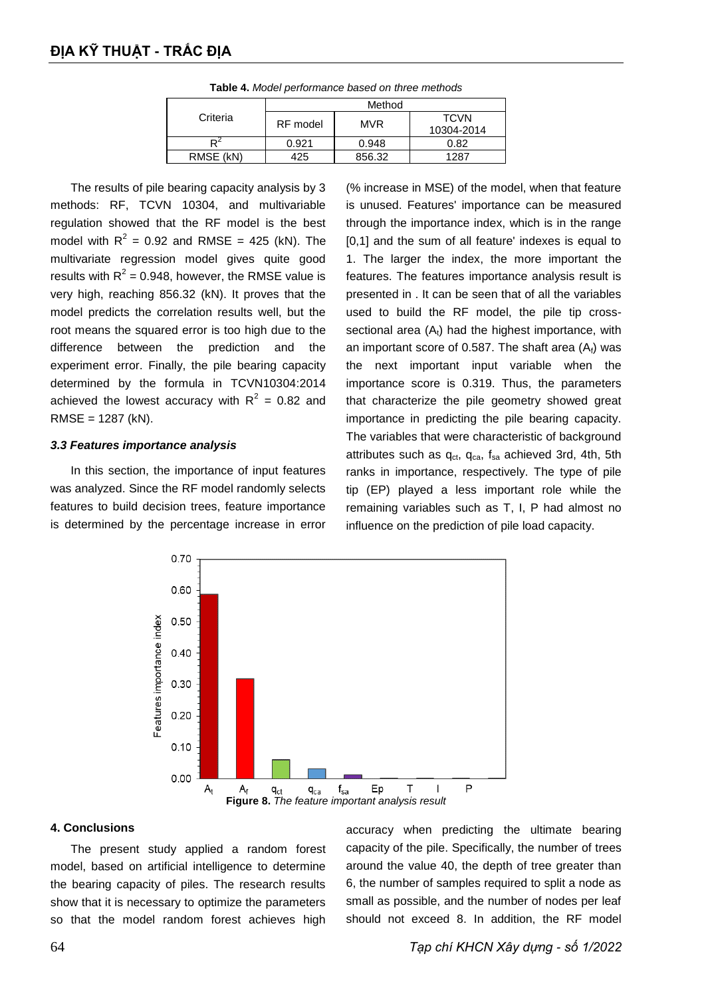|           | Method   |            |                           |  |  |
|-----------|----------|------------|---------------------------|--|--|
| Criteria  | RF model | <b>MVR</b> | <b>TCVN</b><br>10304-2014 |  |  |
|           | 0.921    | 0.948      | 0.82                      |  |  |
| RMSE (kN) | 425      | 856.32     | 1287                      |  |  |

**Table 4.** *Model performance based on three methods*

The results of pile bearing capacity analysis by 3 methods: RF, TCVN 10304, and multivariable regulation showed that the RF model is the best model with  $R^2 = 0.92$  and RMSE = 425 (kN). The multivariate regression model gives quite good results with  $R^2$  = 0.948, however, the RMSE value is very high, reaching 856.32 (kN). It proves that the model predicts the correlation results well, but the root means the squared error is too high due to the difference between the prediction and the experiment error. Finally, the pile bearing capacity determined by the formula in TCVN10304:2014 achieved the lowest accuracy with  $R^2 = 0.82$  and RMSE = 1287 (kN).

### *3.3 Features importance analysis*

In this section, the importance of input features was analyzed. Since the RF model randomly selects features to build decision trees, feature importance is determined by the percentage increase in error (% increase in MSE) of the model, when that feature is unused. Features' importance can be measured through the importance index, which is in the range [0,1] and the sum of all feature' indexes is equal to 1. The larger the index, the more important the features. The features importance analysis result is presented in . It can be seen that of all the variables used to build the RF model, the pile tip crosssectional area  $(A_t)$  had the highest importance, with an important score of 0.587. The shaft area  $(A<sub>f</sub>)$  was the next important input variable when the importance score is 0.319. Thus, the parameters that characterize the pile geometry showed great importance in predicting the pile bearing capacity. The variables that were characteristic of background attributes such as  $q_{ct}$ ,  $q_{ca}$ ,  $f_{sa}$  achieved 3rd, 4th, 5th ranks in importance, respectively. The type of pile tip (EP) played a less important role while the remaining variables such as T, I, P had almost no influence on the prediction of pile load capacity.



#### **4. Conclusions**

The present study applied a random forest model, based on artificial intelligence to determine the bearing capacity of piles. The research results show that it is necessary to optimize the parameters so that the model random forest achieves high accuracy when predicting the ultimate bearing capacity of the pile. Specifically, the number of trees around the value 40, the depth of tree greater than 6, the number of samples required to split a node as small as possible, and the number of nodes per leaf should not exceed 8. In addition, the RF model